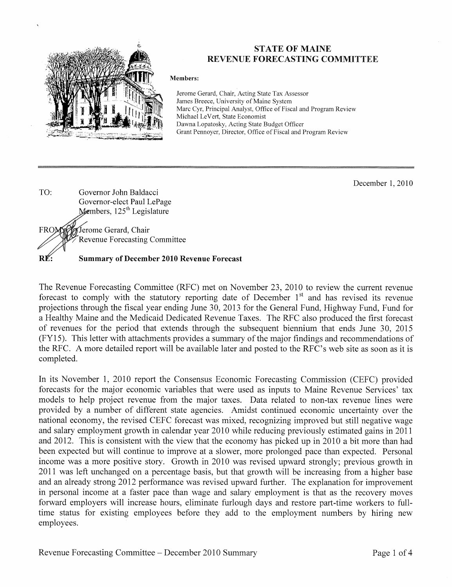

### **STATE OF MAINE REVENUE FORECASTING COMMITTEE**

#### Members:

Jerome Gerard, Chair, Acting State Tax Assessor James Breece, University of Maine System Marc Cyr, Principal Analyst, Office of Fiscal and Program Review Michael LeVert, State Economist Dawna Lopatosky, Acting State Budget Officer Grant Pennoyer, Director, Office of Fiscal and Program Review

December 1, 2010



The Revenue Forecasting Committee (RFC) met on November 23, 2010 to review the current revenue forecast to comply with the statutory reporting date of December 1<sup>st</sup> and has revised its revenue projections through the fiscal year ending June 30, 2013 for the General Fund, Highway Fund, Fund for a Healthy Maine and the Medicaid Dedicated Revenue Taxes. The RFC also produced the first forecast of revenues for the period that extends through the subsequent biennium that ends June 30, 2015 (FY15). This letter with attachments provides a summary of the major findings and recommendations of the RFC. A more detailed report will be available later and posted to the RFC's web site as soon as it is completed.

In its November 1, 2010 report the Consensus Economic Forecasting Commission (CEFC) provided forecasts for the major economic variables that were used as inputs to Maine Revenue Services' tax models to help project revenue from the major taxes. Data related to non-tax revenue lines were provided by a number of different state agencies. Amidst continued economic uncertainty over the national economy, the revised CEFC forecast was mixed, recognizing improved but still negative wage and salary employment growth in calendar year 2010 while reducing previously estimated gains in 2011 and 2012. This is consistent with the view that the economy has picked up in 2010 a bit more than had been expected but will continue to improve at a slower, more prolonged pace than expected. Personal income was a more positive story. Growth in 2010 was revised upward strongly; previous growth in 2011 was left unchanged on a percentage basis, but that growth will be increasing from a higher base and an already strong 2012 performance was revised upward further. The explanation for improvement in personal income at a faster pace than wage and salary employment is that as the recovery moves forward employers will increase hours, eliminate furlough days and restore part-time workers to fulltime status for existing employees before they add to the employment numbers by hiring new employees.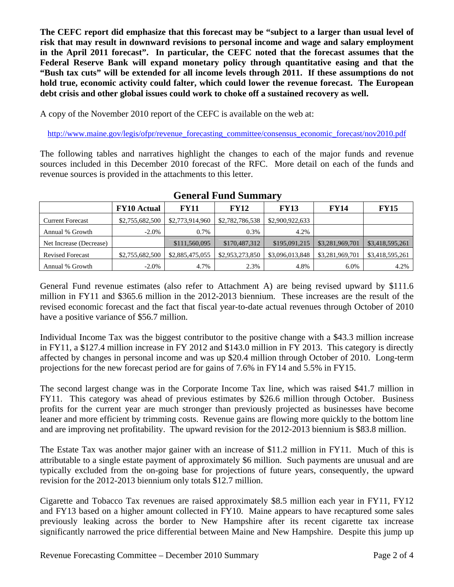**The CEFC report did emphasize that this forecast may be "subject to a larger than usual level of risk that may result in downward revisions to personal income and wage and salary employment in the April 2011 forecast". In particular, the CEFC noted that the forecast assumes that the Federal Reserve Bank will expand monetary policy through quantitative easing and that the "Bush tax cuts" will be extended for all income levels through 2011. If these assumptions do not hold true, economic activity could falter, which could lower the revenue forecast. The European debt crisis and other global issues could work to choke off a sustained recovery as well.** 

A copy of the November 2010 report of the CEFC is available on the web at:

http://www.maine.gov/legis/ofpr/revenue\_forecasting\_committee/consensus\_economic\_forecast/nov2010.pdf

The following tables and narratives highlight the changes to each of the major funds and revenue sources included in this December 2010 forecast of the RFC. More detail on each of the funds and revenue sources is provided in the attachments to this letter.

|                         | <b>FY10</b> Actual | <b>FY11</b>     | <b>FY12</b>     | <b>FY13</b>     | <b>FY14</b>     | <b>FY15</b>     |
|-------------------------|--------------------|-----------------|-----------------|-----------------|-----------------|-----------------|
| <b>Current Forecast</b> | \$2,755,682,500    | \$2,773,914,960 | \$2,782,786,538 | \$2,900,922,633 |                 |                 |
| Annual % Growth         | $-2.0\%$           | 0.7%            | 0.3%            | 4.2%            |                 |                 |
| Net Increase (Decrease) |                    | \$111,560,095   | \$170,487,312   | \$195,091,215   | \$3,281,969,701 | \$3,418,595,261 |
| <b>Revised Forecast</b> | \$2,755,682,500    | \$2,885,475,055 | \$2,953,273,850 | \$3,096,013,848 | \$3,281,969,701 | \$3,418,595,261 |
| Annual % Growth         | $-2.0\%$           | 4.7%            | 2.3%            | 4.8%            | 6.0%            | 4.2%            |

### **General Fund Summary**

General Fund revenue estimates (also refer to Attachment A) are being revised upward by \$111.6 million in FY11 and \$365.6 million in the 2012-2013 biennium. These increases are the result of the revised economic forecast and the fact that fiscal year-to-date actual revenues through October of 2010 have a positive variance of \$56.7 million.

Individual Income Tax was the biggest contributor to the positive change with a \$43.3 million increase in FY11, a \$127.4 million increase in FY 2012 and \$143.0 million in FY 2013. This category is directly affected by changes in personal income and was up \$20.4 million through October of 2010. Long-term projections for the new forecast period are for gains of 7.6% in FY14 and 5.5% in FY15.

The second largest change was in the Corporate Income Tax line, which was raised \$41.7 million in FY11. This category was ahead of previous estimates by \$26.6 million through October. Business profits for the current year are much stronger than previously projected as businesses have become leaner and more efficient by trimming costs. Revenue gains are flowing more quickly to the bottom line and are improving net profitability. The upward revision for the 2012-2013 biennium is \$83.8 million.

The Estate Tax was another major gainer with an increase of \$11.2 million in FY11. Much of this is attributable to a single estate payment of approximately \$6 million. Such payments are unusual and are typically excluded from the on-going base for projections of future years, consequently, the upward revision for the 2012-2013 biennium only totals \$12.7 million.

Cigarette and Tobacco Tax revenues are raised approximately \$8.5 million each year in FY11, FY12 and FY13 based on a higher amount collected in FY10. Maine appears to have recaptured some sales previously leaking across the border to New Hampshire after its recent cigarette tax increase significantly narrowed the price differential between Maine and New Hampshire. Despite this jump up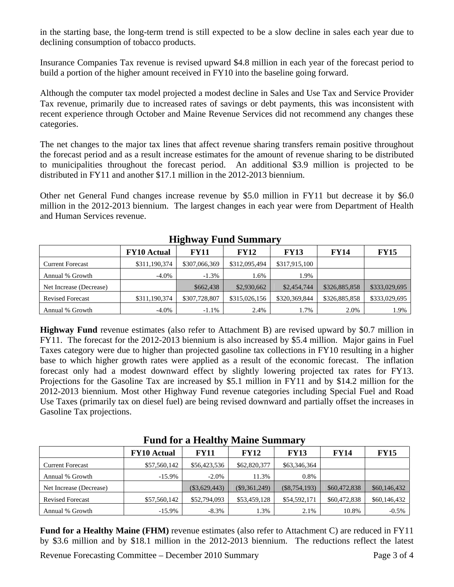in the starting base, the long-term trend is still expected to be a slow decline in sales each year due to declining consumption of tobacco products.

Insurance Companies Tax revenue is revised upward \$4.8 million in each year of the forecast period to build a portion of the higher amount received in FY10 into the baseline going forward.

Although the computer tax model projected a modest decline in Sales and Use Tax and Service Provider Tax revenue, primarily due to increased rates of savings or debt payments, this was inconsistent with recent experience through October and Maine Revenue Services did not recommend any changes these categories.

The net changes to the major tax lines that affect revenue sharing transfers remain positive throughout the forecast period and as a result increase estimates for the amount of revenue sharing to be distributed to municipalities throughout the forecast period. An additional \$3.9 million is projected to be distributed in FY11 and another \$17.1 million in the 2012-2013 biennium.

Other net General Fund changes increase revenue by \$5.0 million in FY11 but decrease it by \$6.0 million in the 2012-2013 biennium. The largest changes in each year were from Department of Health and Human Services revenue.

|                         |                    | $\overline{\phantom{a}}$ |               |               |               |               |
|-------------------------|--------------------|--------------------------|---------------|---------------|---------------|---------------|
|                         | <b>FY10 Actual</b> | <b>FY11</b>              | FY12          | <b>FY13</b>   | <b>FY14</b>   | <b>FY15</b>   |
| <b>Current Forecast</b> | \$311,190,374      | \$307,066,369            | \$312,095,494 | \$317,915,100 |               |               |
| Annual % Growth         | $-4.0\%$           | $-1.3\%$                 | 1.6%          | .9%           |               |               |
| Net Increase (Decrease) |                    | \$662,438                | \$2,930,662   | \$2,454,744   | \$326,885,858 | \$333,029,695 |
| <b>Revised Forecast</b> | \$311,190,374      | \$307,728,807            | \$315,026,156 | \$320,369,844 | \$326,885,858 | \$333,029,695 |
| Annual % Growth         | $-4.0\%$           | $-1.1%$                  | 2.4%          | 1.7%          | 2.0%          | 1.9%          |

**Highway Fund Summary** 

**Highway Fund** revenue estimates (also refer to Attachment B) are revised upward by \$0.7 million in FY11. The forecast for the 2012-2013 biennium is also increased by \$5.4 million. Major gains in Fuel Taxes category were due to higher than projected gasoline tax collections in FY10 resulting in a higher base to which higher growth rates were applied as a result of the economic forecast. The inflation forecast only had a modest downward effect by slightly lowering projected tax rates for FY13. Projections for the Gasoline Tax are increased by \$5.1 million in FY11 and by \$14.2 million for the 2012-2013 biennium. Most other Highway Fund revenue categories including Special Fuel and Road Use Taxes (primarily tax on diesel fuel) are being revised downward and partially offset the increases in Gasoline Tax projections.

|                         | <b>FY10</b> Actual | <b>FY11</b>     | <b>FY12</b>     | <b>FY13</b>     | <b>FY14</b>  | <b>FY15</b>  |
|-------------------------|--------------------|-----------------|-----------------|-----------------|--------------|--------------|
| <b>Current Forecast</b> | \$57,560,142       | \$56,423,536    | \$62,820,377    | \$63,346,364    |              |              |
| Annual % Growth         | $-15.9\%$          | $-2.0\%$        | 11.3%           | 0.8%            |              |              |
| Net Increase (Decrease) |                    | $(\$3,629,443)$ | $(\$9,361,249)$ | $(\$8,754,193)$ | \$60,472,838 | \$60,146,432 |
| <b>Revised Forecast</b> | \$57,560,142       | \$52,794,093    | \$53,459,128    | \$54,592,171    | \$60,472,838 | \$60,146,432 |
| Annual % Growth         | $-15.9\%$          | $-8.3\%$        | 1.3%            | 2.1%            | 10.8%        | $-0.5\%$     |

**Fund for a Healthy Maine Summary** 

Fund for a Healthy Maine (FHM) revenue estimates (also refer to Attachment C) are reduced in FY11 by \$3.6 million and by \$18.1 million in the 2012-2013 biennium. The reductions reflect the latest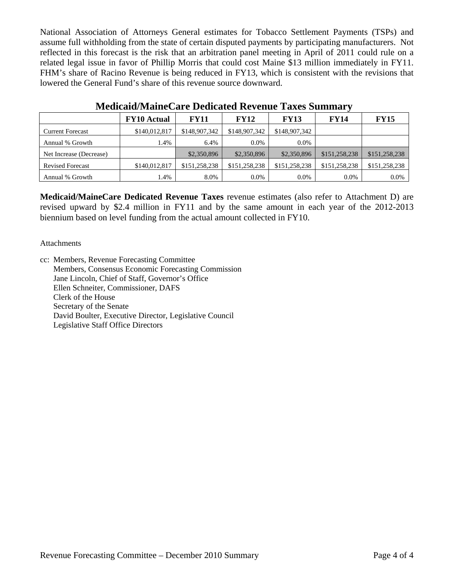National Association of Attorneys General estimates for Tobacco Settlement Payments (TSPs) and assume full withholding from the state of certain disputed payments by participating manufacturers. Not reflected in this forecast is the risk that an arbitration panel meeting in April of 2011 could rule on a related legal issue in favor of Phillip Morris that could cost Maine \$13 million immediately in FY11. FHM's share of Racino Revenue is being reduced in FY13, which is consistent with the revisions that lowered the General Fund's share of this revenue source downward.

|                         | <b>FY10</b> Actual | <b>FY11</b>   | <b>FY12</b>   | <b>FY13</b>   | <b>FY14</b>   | <b>FY15</b>   |
|-------------------------|--------------------|---------------|---------------|---------------|---------------|---------------|
| <b>Current Forecast</b> | \$140,012,817      | \$148,907,342 | \$148,907,342 | \$148,907,342 |               |               |
| Annual % Growth         | .4%                | 6.4%          | $0.0\%$       | 0.0%          |               |               |
| Net Increase (Decrease) |                    | \$2,350,896   | \$2,350,896   | \$2,350,896   | \$151,258,238 | \$151,258,238 |
| <b>Revised Forecast</b> | \$140,012,817      | \$151,258,238 | \$151,258,238 | \$151,258,238 | \$151,258,238 | \$151,258,238 |
| Annual % Growth         | 1.4%               | 8.0%          | $0.0\%$       | 0.0%          | $0.0\%$       | 0.0%          |

## **Medicaid/MaineCare Dedicated Revenue Taxes Summary**

**Medicaid/MaineCare Dedicated Revenue Taxes** revenue estimates (also refer to Attachment D) are revised upward by \$2.4 million in FY11 and by the same amount in each year of the 2012-2013 biennium based on level funding from the actual amount collected in FY10.

### Attachments

cc: Members, Revenue Forecasting Committee Members, Consensus Economic Forecasting Commission Jane Lincoln, Chief of Staff, Governor's Office Ellen Schneiter, Commissioner, DAFS Clerk of the House Secretary of the Senate David Boulter, Executive Director, Legislative Council Legislative Staff Office Directors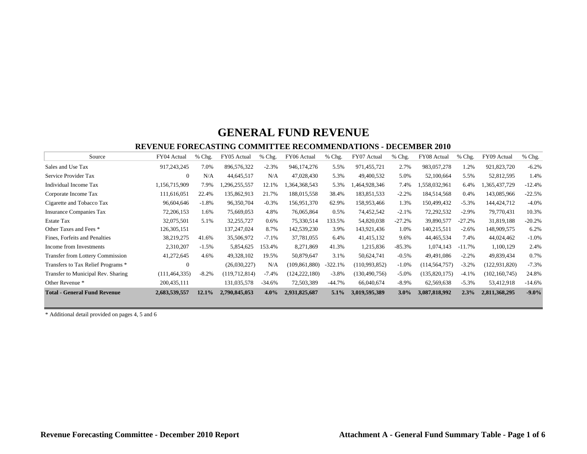#### **REVENUE FORECASTING COMMITTEE RECOMMENDATIONS - DECEMBER 2010**

| Source                                  | FY04 Actual     | $%$ Chg. | FY05 Actual   | % Chg.   | FY06 Actual     | % Chg.    | FY07 Actual     | % Chg.   | FY08 Actual     | % Chg.    | FY09 Actual     | % Chg.   |
|-----------------------------------------|-----------------|----------|---------------|----------|-----------------|-----------|-----------------|----------|-----------------|-----------|-----------------|----------|
| Sales and Use Tax                       | 917,243,245     | 7.0%     | 896,576,322   | $-2.3%$  | 946, 174, 276   | 5.5%      | 971,455,721     | 2.7%     | 983,057,278     | 1.2%      | 921,823,720     | $-6.2%$  |
| Service Provider Tax                    | $\mathbf{0}$    | N/A      | 44,645,517    | N/A      | 47,028,430      | 5.3%      | 49,400,532      | 5.0%     | 52,100,664      | 5.5%      | 52,812,595      | 1.4%     |
| Individual Income Tax                   | 1,156,715,909   | 7.9%     | 1,296,255,557 | 12.1%    | 1,364,368,543   | 5.3%      | .464,928,346    | 7.4%     | 1,558,032,961   | 6.4%      | 1,365,437,729   | $-12.4%$ |
| Corporate Income Tax                    | 111,616,051     | 22.4%    | 135,862,913   | 21.7%    | 188,015,558     | 38.4%     | 183,851,533     | $-2.2%$  | 184,514,568     | 0.4%      | 143,085,966     | $-22.5%$ |
| Cigarette and Tobacco Tax               | 96,604,646      | $-1.8%$  | 96,350,704    | $-0.3%$  | 156,951,370     | 62.9%     | 158,953,466     | 1.3%     | 150,499,432     | $-5.3\%$  | 144,424,712     | $-4.0%$  |
| <b>Insurance Companies Tax</b>          | 72,206,153      | 1.6%     | 75,669,053    | 4.8%     | 76,065,864      | 0.5%      | 74,452,542      | $-2.1%$  | 72,292,532      | $-2.9\%$  | 79,770,431      | 10.3%    |
| <b>Estate Tax</b>                       | 32,075,501      | 5.1%     | 32,255,727    | 0.6%     | 75,330,514      | 133.5%    | 54,820,038      | $-27.2%$ | 39,890,577      | $-27.2%$  | 31,819,188      | $-20.2%$ |
| Other Taxes and Fees *                  | 126,305,151     |          | 137,247,024   | 8.7%     | 142,539,230     | 3.9%      | 143,921,436     | 1.0%     | 140,215,511     | $-2.6%$   | 148,909,575     | 6.2%     |
| Fines, Forfeits and Penalties           | 38,219,275      | 41.6%    | 35,506,972    | $-7.1%$  | 37,781,055      | 6.4%      | 41,415,132      | 9.6%     | 44,465,534      | 7.4%      | 44,024,462      | $-1.0%$  |
| Income from Investments                 | 2,310,207       | $-1.5%$  | 5,854,625     | 153.4%   | 8,271,869       | 41.3%     | 1,215,836       | $-85.3%$ | 1,074,143       | $-11.7\%$ | 1,100,129       | 2.4%     |
| <b>Transfer from Lottery Commission</b> | 41,272,645      | 4.6%     | 49,328,102    | 19.5%    | 50,879,647      | 3.1%      | 50,624,741      | $-0.5%$  | 49,491,086      | $-2.2%$   | 49,839,434      | 0.7%     |
| Transfers to Tax Relief Programs *      | $\Omega$        |          | (26,030,227)  | N/A      | (109, 861, 880) | $-322.1%$ | (110,993,852)   | $-1.0%$  | (114, 564, 757) | $-3.2%$   | (122, 931, 820) | $-7.3%$  |
| Transfer to Municipal Rev. Sharing      | (111, 464, 335) | $-8.2%$  | (119,712,814) | $-7.4%$  | (124, 222, 180) | $-3.8%$   | (130, 490, 756) | $-5.0%$  | (135,820,175)   | $-4.1%$   | (102, 160, 745) | 24.8%    |
| Other Revenue *                         | 200,435,111     |          | 131,035,578   | $-34.6%$ | 72,503,389      | $-44.7%$  | 66,040,674      | $-8.9\%$ | 62,569,638      | $-5.3%$   | 53,412,918      | $-14.6%$ |
| <b>Total - General Fund Revenue</b>     | 2,683,539,557   | 12.1%    | 2,790,845,053 | $4.0\%$  | 2,931,825,687   | $5.1\%$   | 3,019,595,389   | $3.0\%$  | 3,087,818,992   | 2.3%      | 2,811,368,295   | $-9.0%$  |

\* Additional detail provided on pages 4, 5 and 6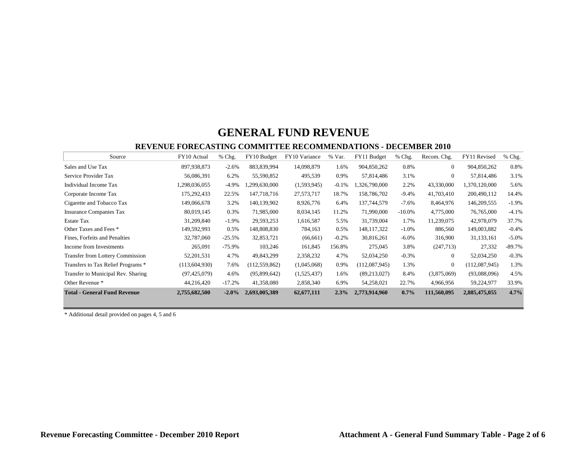#### **REVENUE FORECASTING COMMITTEE RECOMMENDATIONS - DECEMBER 2010**

| Source                              | FY10 Actual    | % Chg.   | FY10 Budget     | FY10 Variance | % Var.  | FY11 Budget    | $%$ Chg.  | Recom. Chg.  | FY11 Revised  | % Chg.   |
|-------------------------------------|----------------|----------|-----------------|---------------|---------|----------------|-----------|--------------|---------------|----------|
| Sales and Use Tax                   | 897,938,873    | $-2.6%$  | 883,839,994     | 14,098,879    | 1.6%    | 904,850,262    | 0.8%      | $\Omega$     | 904,850,262   | 0.8%     |
| Service Provider Tax                | 56,086,391     | 6.2%     | 55,590,852      | 495,539       | 0.9%    | 57,814,486     | 3.1%      | $\mathbf{0}$ | 57,814,486    | 3.1%     |
| Individual Income Tax               | 1,298,036,055  | $-4.9\%$ | 1,299,630,000   | (1,593,945)   | $-0.1%$ | 1,326,790,000  | 2.2%      | 43,330,000   | 1,370,120,000 | 5.6%     |
| Corporate Income Tax                | 175,292,433    | 22.5%    | 147,718,716     | 27,573,717    | 18.7%   | 158,786,702    | $-9.4%$   | 41,703,410   | 200,490,112   | 14.4%    |
| Cigarette and Tobacco Tax           | 149,066,678    | 3.2%     | 140,139,902     | 8,926,776     | 6.4%    | 137,744,579    | $-7.6%$   | 8,464,976    | 146,209,555   | $-1.9%$  |
| <b>Insurance Companies Tax</b>      | 80,019,145     | 0.3%     | 71,985,000      | 8,034,145     | 11.2%   | 71,990,000     | $-10.0\%$ | 4,775,000    | 76,765,000    | $-4.1%$  |
| <b>Estate Tax</b>                   | 31,209,840     | $-1.9%$  | 29,593,253      | 1,616,587     | 5.5%    | 31,739,004     | 1.7%      | 11,239,075   | 42,978,079    | 37.7%    |
| Other Taxes and Fees *              | 149,592,993    | 0.5%     | 148,808,830     | 784,163       | 0.5%    | 148, 117, 322  | $-1.0%$   | 886,560      | 149,003,882   | $-0.4%$  |
| Fines, Forfeits and Penalties       | 32,787,060     | $-25.5%$ | 32,853,721      | (66, 661)     | $-0.2%$ | 30,816,261     | $-6.0\%$  | 316,900      | 31,133,161    | $-5.0\%$ |
| Income from Investments             | 265,091        | $-75.9%$ | 103,246         | 161,845       | 156.8%  | 275,045        | 3.8%      | (247,713)    | 27,332        | $-89.7%$ |
| Transfer from Lottery Commission    | 52, 201, 531   | 4.7%     | 49,843,299      | 2,358,232     | 4.7%    | 52,034,250     | $-0.3%$   | $\mathbf{0}$ | 52,034,250    | $-0.3%$  |
| Transfers to Tax Relief Programs *  | (113,604,930)  | 7.6%     | (112, 559, 862) | (1,045,068)   | 0.9%    | (112,087,945)  | 1.3%      | $\Omega$     | (112,087,945) | 1.3%     |
| Transfer to Municipal Rev. Sharing  | (97, 425, 079) | 4.6%     | (95,899,642)    | (1,525,437)   | 1.6%    | (89, 213, 027) | 8.4%      | (3,875,069)  | (93,088,096)  | 4.5%     |
| Other Revenue *                     | 44,216,420     | $-17.2%$ | 41,358,080      | 2,858,340     | 6.9%    | 54,258,021     | 22.7%     | 4,966,956    | 59,224,977    | 33.9%    |
| <b>Total - General Fund Revenue</b> | 2,755,682,500  | $-2.0\%$ | 2,693,005,389   | 62,677,111    | 2.3%    | 2,773,914,960  | $0.7\%$   | 111,560,095  | 2,885,475,055 | 4.7%     |

\* Additional detail provided on pages 4, 5 and 6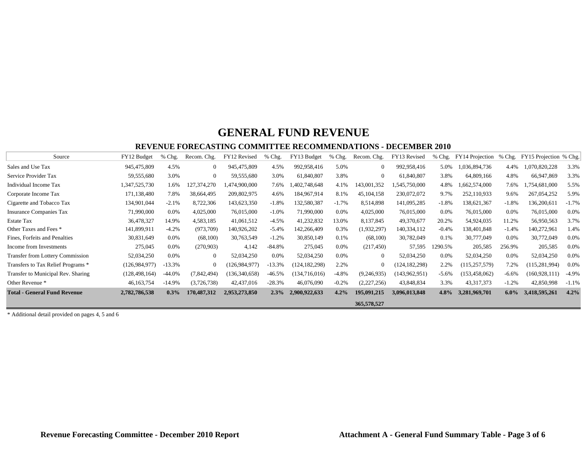#### **REVENUE FORECASTING COMMITTEE RECOMMENDATIONS - DECEMBER 2010**

| Source                                  | FY12 Budget     | $%$ Chg. | Recom. Chg. | FY12 Revised    | % Chg.   | FY13 Budget     | $%$ Chg. | Recom. Chg.  | FY13 Revised    | $%$ Chg. | FY14 Projection | $%$ Chg. | FY15 Projection % Chg. |         |
|-----------------------------------------|-----------------|----------|-------------|-----------------|----------|-----------------|----------|--------------|-----------------|----------|-----------------|----------|------------------------|---------|
| Sales and Use Tax                       | 945,475,809     | 4.5%     | $\Omega$    | 945,475,809     | 4.5%     | 992,958,416     | 5.0%     | $\Omega$     | 992,958,416     | 5.0%     | 1,036,894,736   | 4.4%     | ,070,820,228           | 3.3%    |
| Service Provider Tax                    | 59,555,680      | 3.0%     | $\Omega$    | 59,555,680      | 3.0%     | 61,840,807      | 3.8%     | $\Omega$     | 61,840,807      | 3.8%     | 64,809,166      | 4.8%     | 66,947,869             | 3.3%    |
| <b>Individual Income Tax</b>            | 1,347,525,730   | 1.6%     | 127,374,270 | ,474,900,000    | 7.6%     | 1,402,748,648   | 4.1%     | 143,001,352  | 1,545,750,000   | 4.8%     | 1,662,574,000   | 7.6%     | ,754,681,000           | 5.5%    |
| Corporate Income Tax                    | 171,138,480     | 7.8%     | 38,664,495  | 209,802,975     | 4.6%     | 184,967,914     | 8.1%     | 45, 104, 158 | 230,072,072     | 9.7%     | 252,110,933     | 9.6%     | 267,054,252            | 5.9%    |
| Cigarette and Tobacco Tax               | 134,901,044     | $-2.1%$  | 8,722,306   | 143,623,350     | $-1.8%$  | 132,580,387     | $-1.7%$  | 8,514,898    | 141,095,285     | $-1.8%$  | 138,621,367     | $-1.8%$  | 136,200,611            | $-1.7%$ |
| <b>Insurance Companies Tax</b>          | 71,990,000      | 0.0%     | 4,025,000   | 76,015,000      | $-1.0%$  | 71,990,000      | 0.0%     | 4,025,000    | 76,015,000      | 0.0%     | 76,015,000      | $0.0\%$  | 76,015,000             | 0.0%    |
| <b>Estate Tax</b>                       | 36,478,327      | 14.9%    | 4,583,185   | 41,061,512      | $-4.5%$  | 41,232,832      | 13.0%    | 8,137,845    | 49,370,677      | 20.2%    | 54,924,035      | 11.2%    | 56,950,563             | 3.7%    |
| Other Taxes and Fees *                  | 141,899,911     | $-4.2%$  | (973,709)   | 140,926,202     | $-5.4%$  | 142,266,409     | 0.3%     | (1,932,297)  | 140,334,112     | $-0.4%$  | 138,401,848     | $-1.4%$  | 140,272,961            | 1.4%    |
| Fines, Forfeits and Penalties           | 30,831,649      | 0.0%     | (68,100)    | 30,763,549      | $-1.2%$  | 30,850,149      | 0.1%     | (68,100)     | 30,782,049      | 0.1%     | 30,777,049      | 0.0%     | 30,772,049             | 0.0%    |
| Income from Investments                 | 275,045         | 0.0%     | (270,903)   | 4,142           | $-84.8%$ | 275,045         | 0.0%     | (217, 450)   | 57,595          | 1290.5%  | 205,585         | 256.9%   | 205,585                | $0.0\%$ |
| <b>Transfer from Lottery Commission</b> | 52,034,250      | $0.0\%$  | $\Omega$    | 52,034,250      | $0.0\%$  | 52,034,250      | 0.0%     | $\theta$     | 52,034,250      | $0.0\%$  | 52,034,250      | $0.0\%$  | 52,034,250             | 0.0%    |
| Transfers to Tax Relief Programs *      | (126, 984, 977) | $-13.3%$ | 0           | (126, 984, 977) | $-13.3%$ | (124, 182, 298) | 2.2%     |              | (124, 182, 298) | 2.2%     | (115, 257, 579) | 7.2%     | (115, 281, 994)        | 0.0%    |
| Transfer to Municipal Rev. Sharing      | (128, 498, 164) | $-44.0%$ | (7,842,494) | (136, 340, 658) | $-46.5%$ | (134,716,016)   | $-4.8%$  | (9,246,935)  | (143, 962, 951) | $-5.6%$  | 153,458,062)    | $-6.6%$  | (160, 928, 11)         | $-4.9%$ |
| Other Revenue *                         | 46, 163, 754    | $-14.9%$ | (3,726,738) | 42,437,016      | $-28.3%$ | 46,076,090      | $-0.2%$  | (2,227,256)  | 43,848,834      | 3.3%     | 43, 317, 373    | $-1.2%$  | 42,850,998             | $-1.1%$ |
| <b>Total - General Fund Revenue</b>     | 2,782,786,538   | 0.3%     | 170,487,312 | 2,953,273,850   | 2.3%     | 2,900,922,633   | 4.2%     | 195,091,215  | 3,096,013,848   | $4.8\%$  | 3,281,969,701   | $6.0\%$  | 3,418,595,261          | 4.2%    |
|                                         |                 |          |             |                 |          |                 |          | 365,578,527  |                 |          |                 |          |                        |         |

\* Additional detail provided on pages 4, 5 and 6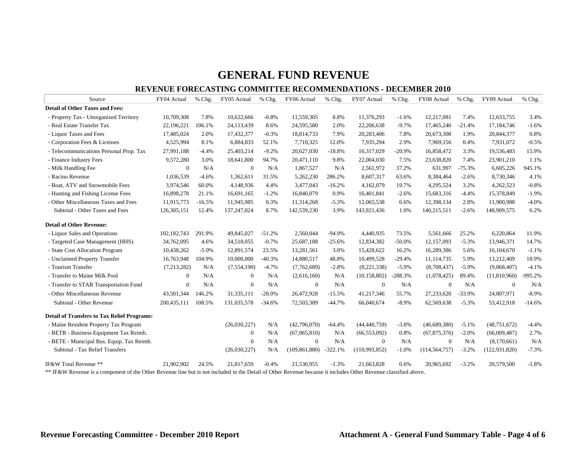#### **REVENUE FORECASTING COMMITTEE RECOMMENDATIONS - DECEMBER 2010**

| Source                                             | FY04 Actual    | % Chg.   | FY05 Actual        | % Chg.               | FY06 Actual     | % Chg.    | FY07 Actual    | % Chg.       | FY08 Actual     | % Chg.   | FY09 Actual      | % Chg.    |
|----------------------------------------------------|----------------|----------|--------------------|----------------------|-----------------|-----------|----------------|--------------|-----------------|----------|------------------|-----------|
| <b>Detail of Other Taxes and Fees:</b>             |                |          |                    |                      |                 |           |                |              |                 |          |                  |           |
| - Property Tax - Unorganized Territory             | 10,709,308     | 7.8%     | 10,622,666         | $-0.8%$              | 11,559,305      | 8.8%      | 11,376,293     | $-1.6%$      | 12,217,081      | 7.4%     | 12,633,755       | 3.4%      |
| - Real Estate Transfer Tax                         | 22,196,221     | 106.1%   | 24,113,439         | 8.6%                 | 24,595,580      | 2.0%      | 22,206,638     | $-9.7%$      | 17,465,240      | $-21.4%$ | 17,184,746       | $-1.6%$   |
| - Liquor Taxes and Fees                            | 17,485,024     | 2.0%     | 17,432,377         | $-0.3%$              | 18,814,733      | 7.9%      | 20,283,406     | 7.8%         | 20,673,308      | 1.9%     | 20,844,377       | 0.8%      |
| - Corporation Fees & Licenses                      | 4,525,994      | 8.1%     | 6,884,833          | 52.1%                | 7,710,325       | 12.0%     | 7,935,294      | 2.9%         | 7,969,156       | 0.4%     | 7,931,072        | $-0.5%$   |
| - Telecommunications Personal Prop. Tax            | 27,991,188     | $-4.4%$  | 25,403,214         | $-9.2%$              | 20,627,030      | $-18.8%$  | 16,317,029     | $-20.9%$     | 16,858,472      | 3.3%     | 19,536,483       | 15.9%     |
| - Finance Industry Fees                            | 9,572,280      | 3.0%     | 18,641,800         | 94.7%                | 20,471,110      | 9.8%      | 22,004,030     | 7.5%         | 23,638,820      | 7.4%     | 23,901,210       | 1.1%      |
| - Milk Handling Fee                                | $\bf{0}$       | N/A      | $\bf{0}$           | N/A                  | 1,867,527       | N/A       | 2,561,972      | 37.2%        | 631,997         | $-75.3%$ | 6,605,226        | 945.1%    |
| - Racino Revenue                                   | 1,036,539      | $-4.6%$  | 1,362,611          | 31.5%                | 5,262,230       | 286.2%    | 8,607,317      | 63.6%        | 8,384,464       | $-2.6%$  | 8,730,346        | 4.1%      |
| - Boat, ATV and Snowmobile Fees                    | 3,974,546      | 60.0%    | 4,148,936          | 4.4%                 | 3,477,043       | $-16.2%$  | 4,162,079      | 19.7%        | 4,295,524       | 3.2%     | 4,262,523        | $-0.8%$   |
| - Hunting and Fishing License Fees                 | 16,898,278     | 21.1%    | 16,691,165         | $-1.2%$              | 16,840,079      | 0.9%      | 16,401,841     | $-2.6%$      | 15,683,316      | $-4.4%$  | 15,378,849       | $-1.9%$   |
| - Other Miscellaneous Taxes and Fees               | 11,915,773     | $-16.5%$ | 11,945,985         | 0.3%                 | 11,314,268      | $-5.3%$   | 12,065,538     | 6.6%         | 12,398,134      | 2.8%     | 11,900,988       | $-4.0%$   |
| Subtotal - Other Taxes and Fees                    | 126, 305, 151  | 12.4%    | 137,247,024        | 8.7%                 | 142,539,230     | 3.9%      | 143,921,436    | 1.0%         | 140,215,511     | $-2.6%$  | 148,909,575      | 6.2%      |
| <b>Detail of Other Revenue:</b>                    |                |          |                    |                      |                 |           |                |              |                 |          |                  |           |
| - Liquor Sales and Operations                      | 102, 182, 743  | 291.9%   | 49,845,027         | $-51.2%$             | 2,560,044       | $-94.9%$  | 4,440,935      | 73.5%        | 5,561,666       | 25.2%    | 6,220,864        | 11.9%     |
| - Targeted Case Management (HHS)                   | 34,762,095     | 4.6%     | 34,518,055         | $-0.7%$              | 25,687,188      | $-25.6%$  | 12,834,382     | $-50.0%$     | 12,157,093      | $-5.3%$  | 13,946,371       | 14.7%     |
| - State Cost Allocation Program                    | 10,438,262     | $-5.0%$  | 12,891,574         | 23.5%                | 13,281,561      | 3.0%      | 15,428,622     | 16.2%        | 16,289,386      | 5.6%     | 16,104,670       | $-1.1%$   |
| - Unclaimed Property Transfer                      | 16,763,948     | 104.9%   | 10,000,000         | $-40.3%$             | 14,880,517      | 48.8%     | 10,499,528     | $-29.4%$     | 11,114,735      | 5.9%     | 13,212,409       | 18.9%     |
| - Tourism Transfer                                 | (7,213,282)    | N/A      | (7,554,190)        | $-4.7%$              | (7,762,689)     | $-2.8%$   | (8,221,338)    | $-5.9%$      | (8,708,437)     | $-5.9%$  | (9,068,407)      | $-4.1%$   |
| - Transfer to Maine Milk Pool                      | $\overline{0}$ | N/A      | $\mathbf{0}$       | N/A                  | (2,616,160)     | N/A       | (10, 158, 802) | $-288.3%$    | (1,078,425)     | 89.4%    | (11,810,960)     | $-995.2%$ |
| - Transfer to STAR Transportation Fund             | $\mathbf{0}$   | N/A      | $\Omega$           | N/A                  | $\mathbf{0}$    | N/A       | $\overline{0}$ | N/A          | $\overline{0}$  | N/A      | $\boldsymbol{0}$ | N/A       |
| - Other Miscellaneous Revenue                      | 43,501,344     | 146.2%   | 31,335,111         | $-28.0%$             | 26,472,928      | $-15.5%$  | 41,217,346     | 55.7%        | 27,233,620      | $-33.9%$ | 24,807,971       | $-8.9%$   |
| Subtotal - Other Revenue                           | 200, 435, 111  | 108.5%   | 131,035,578        | $-34.6%$             | 72,503,389      | $-44.7%$  | 66,040,674     | $-8.9%$      | 62,569,638      | $-5.3%$  | 53,412,918       | $-14.6%$  |
| <b>Detail of Transfers to Tax Relief Programs:</b> |                |          |                    |                      |                 |           |                |              |                 |          |                  |           |
| - Maine Resident Property Tax Program              |                |          | (26,030,227)       | N/A                  | (42,796,070)    | $-64.4%$  | (44, 440, 759) | $-3.8%$      | (46,689,380)    | $-5.1%$  | (48, 751, 672)   | $-4.4%$   |
| - BETR - Business Equipment Tax Reimb.             |                |          | $\mathbf{0}$       | N/A                  | (67,065,810)    | N/A       | (66, 553, 092) | 0.8%         | (67, 875, 376)  | $-2.0%$  | (66,009,487)     | 2.7%      |
| - BETE - Municipal Bus. Equip. Tax Reimb.          |                |          | $\overline{0}$     | N/A                  | $\mathbf{0}$    | N/A       | $\overline{0}$ | N/A          | $\overline{0}$  | N/A      | (8,170,661)      | N/A       |
| Subtotal - Tax Relief Transfers                    |                |          | (26,030,227)       | N/A                  | (109, 861, 880) | $-322.1%$ | (110,993,852)  | $-1.0%$      | (114, 564, 757) | $-3.2%$  | (122, 931, 820)  | $-7.3%$   |
| IF&W Total Revenue **                              | 21,902,902     | 24.5%    | 21,817,659         | $-0.4%$              | 21,530,955      | $-1.3%$   | 21,663,828     | 0.6%         | 20,965,692      | $-3.2%$  | 20,579,500       | $-1.8%$   |
| $c + c + c$<br><b>AA TOATT D</b>                   | $\mathbf{r}$   |          | $\sim$<br>$\cdots$ | $\sim$ $\sim$ $\sim$ | $\sqrt{2}$      |           | $\sim$         | $\mathbf{r}$ |                 |          |                  |           |

\*\* IF&W Revenue is a component of the Other Revenue line but is not included in the Detail of Other Revenue because it includes Other Revenue classified above.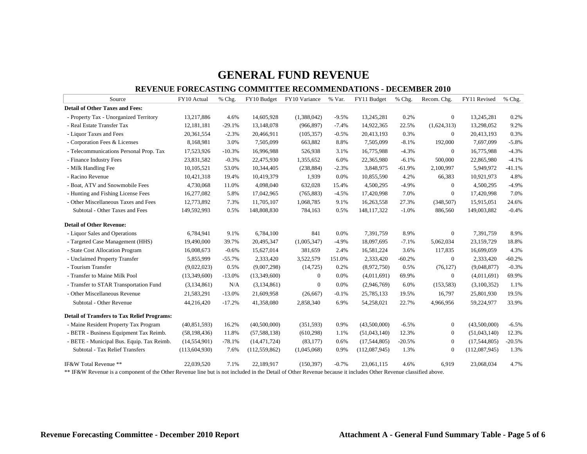#### **REVENUE FORECASTING COMMITTEE RECOMMENDATIONS - DECEMBER 2010**

| Source                                             | FY10 Actual     | % Chg.   | FY10 Budget     | FY10 Variance  | % Var.  | FY11 Budget   | % Chg.   | Recom. Chg.      | FY11 Revised   | $%$ Chg. |
|----------------------------------------------------|-----------------|----------|-----------------|----------------|---------|---------------|----------|------------------|----------------|----------|
| <b>Detail of Other Taxes and Fees:</b>             |                 |          |                 |                |         |               |          |                  |                |          |
| - Property Tax - Unorganized Territory             | 13,217,886      | 4.6%     | 14,605,928      | (1,388,042)    | $-9.5%$ | 13,245,281    | 0.2%     | $\mathbf{0}$     | 13,245,281     | 0.2%     |
| - Real Estate Transfer Tax                         | 12,181,181      | $-29.1%$ | 13,148,078      | (966, 897)     | $-7.4%$ | 14,922,365    | 22.5%    | (1,624,313)      | 13,298,052     | 9.2%     |
| - Liquor Taxes and Fees                            | 20,361,554      | $-2.3%$  | 20,466,911      | (105, 357)     | $-0.5%$ | 20,413,193    | 0.3%     | $\overline{0}$   | 20,413,193     | 0.3%     |
| - Corporation Fees & Licenses                      | 8,168,981       | 3.0%     | 7,505,099       | 663,882        | 8.8%    | 7,505,099     | $-8.1%$  | 192,000          | 7,697,099      | $-5.8%$  |
| - Telecommunications Personal Prop. Tax            | 17,523,926      | $-10.3%$ | 16,996,988      | 526,938        | 3.1%    | 16,775,988    | $-4.3%$  | $\overline{0}$   | 16,775,988     | $-4.3%$  |
| - Finance Industry Fees                            | 23,831,582      | $-0.3%$  | 22,475,930      | 1,355,652      | 6.0%    | 22,365,980    | $-6.1%$  | 500,000          | 22,865,980     | $-4.1%$  |
| - Milk Handling Fee                                | 10,105,521      | 53.0%    | 10,344,405      | (238, 884)     | $-2.3%$ | 3,848,975     | $-61.9%$ | 2,100,997        | 5,949,972      | $-41.1%$ |
| - Racino Revenue                                   | 10,421,318      | 19.4%    | 10,419,379      | 1,939          | 0.0%    | 10,855,590    | 4.2%     | 66,383           | 10,921,973     | 4.8%     |
| - Boat, ATV and Snowmobile Fees                    | 4,730,068       | 11.0%    | 4,098,040       | 632,028        | 15.4%   | 4,500,295     | $-4.9%$  | $\mathbf{0}$     | 4,500,295      | $-4.9%$  |
| - Hunting and Fishing License Fees                 | 16,277,082      | 5.8%     | 17,042,965      | (765, 883)     | $-4.5%$ | 17,420,998    | 7.0%     | $\overline{0}$   | 17,420,998     | 7.0%     |
| - Other Miscellaneous Taxes and Fees               | 12,773,892      | 7.3%     | 11,705,107      | 1,068,785      | 9.1%    | 16,263,558    | 27.3%    | (348, 507)       | 15,915,051     | 24.6%    |
| Subtotal - Other Taxes and Fees                    | 149,592,993     | 0.5%     | 148,808,830     | 784,163        | 0.5%    | 148, 117, 322 | $-1.0%$  | 886,560          | 149,003,882    | $-0.4%$  |
| <b>Detail of Other Revenue:</b>                    |                 |          |                 |                |         |               |          |                  |                |          |
| - Liquor Sales and Operations                      | 6,784,941       | 9.1%     | 6,784,100       | 841            | 0.0%    | 7,391,759     | 8.9%     | $\boldsymbol{0}$ | 7,391,759      | 8.9%     |
| - Targeted Case Management (HHS)                   | 19,490,000      | 39.7%    | 20,495,347      | (1,005,347)    | $-4.9%$ | 18,097,695    | $-7.1%$  | 5,062,034        | 23,159,729     | 18.8%    |
| - State Cost Allocation Program                    | 16,008,673      | $-0.6%$  | 15,627,014      | 381,659        | 2.4%    | 16,581,224    | 3.6%     | 117,835          | 16,699,059     | 4.3%     |
| - Unclaimed Property Transfer                      | 5,855,999       | $-55.7%$ | 2,333,420       | 3,522,579      | 151.0%  | 2,333,420     | $-60.2%$ | $\mathbf{0}$     | 2,333,420      | $-60.2%$ |
| - Tourism Transfer                                 | (9,022,023)     | 0.5%     | (9,007,298)     | (14, 725)      | 0.2%    | (8,972,750)   | 0.5%     | (76, 127)        | (9,048,877)    | $-0.3%$  |
| - Transfer to Maine Milk Pool                      | (13,349,600)    | $-13.0%$ | (13,349,600)    | $\overline{0}$ | 0.0%    | (4,011,691)   | 69.9%    | $\overline{0}$   | (4,011,691)    | 69.9%    |
| - Transfer to STAR Transportation Fund             | (3, 134, 861)   | N/A      | (3,134,861)     | $\overline{0}$ | 0.0%    | (2,946,769)   | 6.0%     | (153, 583)       | (3,100,352)    | 1.1%     |
| - Other Miscellaneous Revenue                      | 21,583,291      | $-13.0%$ | 21,609,958      | (26, 667)      | $-0.1%$ | 25,785,133    | 19.5%    | 16,797           | 25,801,930     | 19.5%    |
| Subtotal - Other Revenue                           | 44,216,420      | $-17.2%$ | 41,358,080      | 2,858,340      | 6.9%    | 54,258,021    | 22.7%    | 4,966,956        | 59,224,977     | 33.9%    |
| <b>Detail of Transfers to Tax Relief Programs:</b> |                 |          |                 |                |         |               |          |                  |                |          |
| - Maine Resident Property Tax Program              | (40,851,593)    | 16.2%    | (40,500,000)    | (351,593)      | 0.9%    | (43,500,000)  | $-6.5%$  | $\overline{0}$   | (43,500,000)   | $-6.5%$  |
| - BETR - Business Equipment Tax Reimb.             | (58, 198, 436)  | 11.8%    | (57, 588, 138)  | (610, 298)     | 1.1%    | (51,043,140)  | 12.3%    | $\mathbf{0}$     | (51,043,140)   | 12.3%    |
| - BETE - Municipal Bus. Equip. Tax Reimb.          | (14, 554, 901)  | $-78.1%$ | (14, 471, 724)  | (83, 177)      | 0.6%    | (17,544,805)  | $-20.5%$ | $\boldsymbol{0}$ | (17, 544, 805) | $-20.5%$ |
| Subtotal - Tax Relief Transfers                    | (113, 604, 930) | 7.6%     | (112, 559, 862) | (1,045,068)    | 0.9%    | (112,087,945) | 1.3%     | $\mathbf{0}$     | (112,087,945)  | 1.3%     |
| IF&W Total Revenue **                              | 22,039,520      | 7.1%     | 22,189,917      | (150, 397)     | $-0.7%$ | 23,061,115    | 4.6%     | 6,919            | 23,068,034     | 4.7%     |

\*\* IF&W Revenue is a component of the Other Revenue line but is not included in the Detail of Other Revenue because it includes Other Revenue classified above.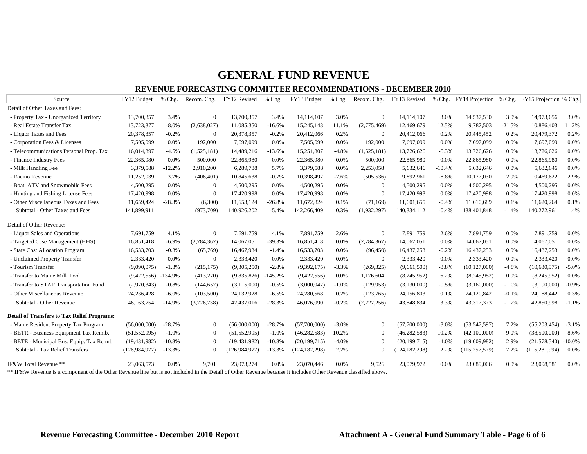#### **REVENUE FORECASTING COMMITTEE RECOMMENDATIONS - DECEMBER 2010**

| Source                                                                                                                                                         | FY12 Budget           | $%$ Chg. | Recom. Chg.    | FY12 Revised    | % Chg.    | FY13 Budget     | $%$ Chg. | Recom. Chg.    | FY13 Revised    |          |                 |          | % Chg. FY14 Projection % Chg. FY15 Projection % Chg. |          |
|----------------------------------------------------------------------------------------------------------------------------------------------------------------|-----------------------|----------|----------------|-----------------|-----------|-----------------|----------|----------------|-----------------|----------|-----------------|----------|------------------------------------------------------|----------|
| Detail of Other Taxes and Fees:                                                                                                                                |                       |          |                |                 |           |                 |          |                |                 |          |                 |          |                                                      |          |
| - Property Tax - Unorganized Territory                                                                                                                         | 13,700,357            | 3.4%     | $\overline{0}$ | 13,700,357      | 3.4%      | 14,114,107      | 3.0%     | $\Omega$       | 14,114,107      | 3.0%     | 14,537,530      | 3.0%     | 14,973,656                                           | 3.0%     |
| - Real Estate Transfer Tax                                                                                                                                     | 13,723,377            | $-8.0\%$ | (2,638,027)    | 11,085,350      | $-16.6%$  | 15,245,148      | 11.1%    | (2,775,469)    | 12,469,679      | 12.5%    | 9,787,503       | $-21.5%$ | 10,886,403                                           | 11.2%    |
| - Liquor Taxes and Fees                                                                                                                                        | 20,378,357            | $-0.2%$  | $\Omega$       | 20,378,357      | $-0.2%$   | 20,412,066      | 0.2%     | $\theta$       | 20,412,066      | 0.2%     | 20,445,452      | 0.2%     | 20,479,372                                           | 0.2%     |
| - Corporation Fees & Licenses                                                                                                                                  | 7,505,099             | 0.0%     | 192,000        | 7,697,099       | 0.0%      | 7,505,099       | 0.0%     | 192,000        | 7,697,099       | 0.0%     | 7,697,099       | 0.0%     | 7,697,099                                            | 0.0%     |
| - Telecommunications Personal Prop. Tax                                                                                                                        | 16,014,397            | $-4.5%$  | (1,525,181)    | 14,489,216      | $-13.6%$  | 15,251,807      | $-4.8%$  | (1,525,181)    | 13,726,626      | $-5.3%$  | 13,726,626      | 0.0%     | 13,726,626                                           | 0.0%     |
| - Finance Industry Fees                                                                                                                                        | 22,365,980            | 0.0%     | 500,000        | 22,865,980      | 0.0%      | 22,365,980      | 0.0%     | 500,000        | 22,865,980      | 0.0%     | 22,865,980      | 0.0%     | 22,865,980                                           | 0.0%     |
| - Milk Handling Fee                                                                                                                                            | 3,379,588             | $-12.2%$ | 2,910,200      | 6,289,788       | 5.7%      | 3,379,588       | 0.0%     | 2,253,058      | 5,632,646       | $-10.4%$ | 5,632,646       | $0.0\%$  | 5,632,646                                            | 0.0%     |
| - Racino Revenue                                                                                                                                               | 11,252,039            | 3.7%     | (406, 401)     | 10,845,638      | $-0.7%$   | 10,398,497      | $-7.6%$  | (505, 536)     | 9,892,961       | $-8.8%$  | 10,177,030      | 2.9%     | 10,469,622                                           | 2.9%     |
| - Boat, ATV and Snowmobile Fees                                                                                                                                | 4,500,295             | 0.0%     | $\Omega$       | 4,500,295       | 0.0%      | 4,500,295       | 0.0%     | $\Omega$       | 4,500,295       | 0.0%     | 4,500,295       | 0.0%     | 4,500,295                                            | 0.0%     |
| - Hunting and Fishing License Fees                                                                                                                             | 17,420,998            | 0.0%     | $\overline{0}$ | 17,420,998      | 0.0%      | 17,420,998      | 0.0%     | $\Omega$       | 17,420,998      | 0.0%     | 17,420,998      | 0.0%     | 17,420,998                                           | 0.0%     |
| - Other Miscellaneous Taxes and Fees                                                                                                                           | 11,659,424            | $-28.3%$ | (6,300)        | 11,653,124      | $-26.8%$  | 11,672,824      | 0.1%     | (71, 169)      | 11,601,655      | $-0.4%$  | 11,610,689      | 0.1%     | 11,620,264                                           | 0.1%     |
| Subtotal - Other Taxes and Fees                                                                                                                                | 141,899,911           |          | (973, 709)     | 140,926,202     | $-5.4%$   | 142,266,409     | 0.3%     | (1,932,297)    | 140,334,112     | $-0.4%$  | 138,401,848     | $-1.4%$  | 140,272,961                                          | 1.4%     |
| Detail of Other Revenue:                                                                                                                                       |                       |          |                |                 |           |                 |          |                |                 |          |                 |          |                                                      |          |
| - Liquor Sales and Operations                                                                                                                                  | 7,691,759             | 4.1%     | $\overline{0}$ | 7,691,759       | 4.1%      | 7,891,759       | 2.6%     | $\overline{0}$ | 7,891,759       | 2.6%     | 7,891,759       | 0.0%     | 7,891,759                                            | 0.0%     |
| - Targeted Case Management (HHS)                                                                                                                               | 16,851,418            | $-6.9%$  | (2,784,367)    | 14,067,051      | $-39.3%$  | 16,851,418      | 0.0%     | (2,784,367)    | 14,067,051      | 0.0%     | 14,067,051      | 0.0%     | 14,067,051                                           | 0.0%     |
| - State Cost Allocation Program                                                                                                                                | 16,533,703            | $-0.3%$  | (65,769)       | 16,467,934      | $-1.4%$   | 16,533,703      | 0.0%     | (96, 450)      | 16,437,253      | $-0.2%$  | 16,437,253      | 0.0%     | 16,437,253                                           | 0.0%     |
| - Unclaimed Property Transfer                                                                                                                                  | 2,333,420             | 0.0%     | $\overline{0}$ | 2,333,420       | 0.0%      | 2,333,420       | 0.0%     | $\mathbf{0}$   | 2,333,420       | 0.0%     | 2,333,420       | 0.0%     | 2,333,420                                            | 0.0%     |
| - Tourism Transfer                                                                                                                                             | (9,090,075)           | $-1.3%$  | (215, 175)     | (9,305,250)     | $-2.8%$   | (9,392,175)     | $-3.3%$  | (269, 325)     | (9,661,500)     | $-3.8%$  | (10, 127, 000)  | $-4.8%$  | (10,630,975)                                         | $-5.0%$  |
| - Transfer to Maine Milk Pool                                                                                                                                  | $(9,422,556) -134.9%$ |          | (413,270)      | (9,835,826)     | $-145.2%$ | (9,422,556)     | 0.0%     | 1.176.604      | (8,245,952)     | 16.2%    | (8,245,952)     | $0.0\%$  | (8,245,952)                                          | 0.0%     |
| - Transfer to STAR Transportation Fund                                                                                                                         | (2,970,343)           | $-0.8%$  | (144, 657)     | (3,115,000)     | $-0.5%$   | (3,000,047)     | $-1.0%$  | (129, 953)     | (3,130,000)     | $-0.5%$  | (3,160,000)     | $-1.0%$  | (3,190,000)                                          | $-0.9%$  |
| - Other Miscellaneous Revenue                                                                                                                                  | 24,236,428            | $-6.0\%$ | (103,500)      | 24,132,928      | $-6.5%$   | 24,280,568      | 0.2%     | (123,765)      | 24,156,803      | 0.1%     | 24,120,842      | $-0.1%$  | 24,188,442                                           | 0.3%     |
| Subtotal - Other Revenue                                                                                                                                       | 46,163,754            | $-14.9%$ | (3,726,738)    | 42,437,016      | $-28.3%$  | 46,076,090      | $-0.2%$  | (2,227,256)    | 43,848,834      | 3.3%     | 43,317,373      | $-1.2%$  | 42,850,998                                           | $-1.1%$  |
| <b>Detail of Transfers to Tax Relief Programs:</b>                                                                                                             |                       |          |                |                 |           |                 |          |                |                 |          |                 |          |                                                      |          |
| - Maine Resident Property Tax Program                                                                                                                          | (56,000,000)          | $-28.7%$ | $\overline{0}$ | (56,000,000)    | $-28.7%$  | (57,700,000)    | $-3.0%$  | $\mathbf{0}$   | (57,700,000)    | $-3.0%$  | (53, 547, 597)  | 7.2%     | (55,203,454)                                         | $-3.1%$  |
| - BETR - Business Equipment Tax Reimb.                                                                                                                         | (51, 552, 995)        | $-1.0%$  | $\Omega$       | (51, 552, 995)  | $-1.0%$   | (46, 282, 583)  | 10.2%    | $\Omega$       | (46, 282, 583)  | 10.2%    | (42,100,000)    | 9.0%     | (38,500,000)                                         | 8.6%     |
| BETE - Municipal Bus. Equip. Tax Reimb.                                                                                                                        | (19, 431, 982)        | $-10.8%$ | $\Omega$       | (19, 431, 982)  | $-10.8%$  | (20, 199, 715)  | $-4.0%$  | $\theta$       | (20, 199, 715)  | $-4.0%$  | (19,609,982)    | 2.9%     | (21,578,540)                                         | $-10.0%$ |
| Subtotal - Tax Relief Transfers                                                                                                                                | (126.984.977)         | $-13.3%$ | $\Omega$       | (126, 984, 977) | $-13.3%$  | (124, 182, 298) | 2.2%     |                | (124, 182, 298) | 2.2%     | (115, 257, 579) | 7.2%     | (115, 281, 994)                                      | 0.0%     |
| IF&W Total Revenue **                                                                                                                                          | 23,063,573            | 0.0%     | 9.701          | 23.073.274      | 0.0%      | 23.070.446      | $0.0\%$  | 9.526          | 23.079.972      | 0.0%     | 23,089,006      | $0.0\%$  | 23,098,581                                           | 0.0%     |
| ** IE&W Revenue is a component of the Other Revenue line but is not included in the Detail of Other Revenue because it includes Other Revenue classified above |                       |          |                |                 |           |                 |          |                |                 |          |                 |          |                                                      |          |

IF&W Revenue is a component of the Other Revenue line but is not included in the Detail of Other Revenue because it includes Other Revenue classified above.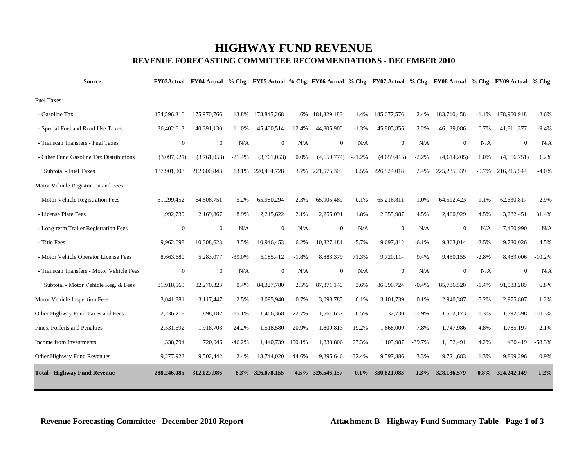# **HIGHWAY FUND REVENUE**

### **REVENUE FORECASTING COMMITTEE RECOMMENDATIONS - DECEMBER 2010**

| <b>Source</b>                             |                  | FY03Actual FY04 Actual % Chg. FY05 Actual % Chg. FY06 Actual % Chg. FY07 Actual % Chg. FY08 Actual % Chg. FY09 Actual % Chg. |          |                  |          |                  |          |                  |          |                  |          |                |          |
|-------------------------------------------|------------------|------------------------------------------------------------------------------------------------------------------------------|----------|------------------|----------|------------------|----------|------------------|----------|------------------|----------|----------------|----------|
| <b>Fuel Taxes</b>                         |                  |                                                                                                                              |          |                  |          |                  |          |                  |          |                  |          |                |          |
| - Gasoline Tax                            | 154,596,316      | 175,970,766                                                                                                                  | 13.8%    | 178,845,268      | 1.6%     | 181,329,183      | 1.4%     | 185,677,576      | 2.4%     | 183,710,458      | $-1.1%$  | 178,960,918    | $-2.6%$  |
| - Special Fuel and Road Use Taxes         | 36,402,613       | 40.391.130                                                                                                                   | 11.0%    | 45,400,514       | 12.4%    | 44,805,900       | $-1.3%$  | 45,805,856       | 2.2%     | 46,139,086       | 0.7%     | 41,811,377     | $-9.4%$  |
| - Transcap Transfers - Fuel Taxes         | $\boldsymbol{0}$ | $\mathbf{0}$                                                                                                                 | N/A      | $\mathbf{0}$     | N/A      | $\mathbf{0}$     | N/A      | $\boldsymbol{0}$ | N/A      | $\boldsymbol{0}$ | N/A      | $\mathbf{0}$   | N/A      |
| - Other Fund Gasoline Tax Distributions   | (3,097,921)      | (3,761,053)                                                                                                                  | $-21.4%$ | (3,761,053)      | 0.0%     | (4,559,774)      | $-21.2%$ | (4,659,415)      | $-2.2%$  | (4,614,205)      | 1.0%     | (4,556,751)    | 1.2%     |
| Subtotal - Fuel Taxes                     | 187,901,008      | 212,600,843                                                                                                                  | 13.1%    | 220,484,728      | 3.7%     | 221,575,309      | 0.5%     | 226,824,018      | 2.4%     | 225, 235, 339    | $-0.7\%$ | 216,215,544    | $-4.0%$  |
| Motor Vehicle Registration and Fees       |                  |                                                                                                                              |          |                  |          |                  |          |                  |          |                  |          |                |          |
| - Motor Vehicle Registration Fees         | 61,299,452       | 64,508,751                                                                                                                   | 5.2%     | 65,980,294       | 2.3%     | 65,905,489       | $-0.1%$  | 65,216,811       | $-1.0%$  | 64,512,423       | $-1.1%$  | 62,630,817     | $-2.9%$  |
| - License Plate Fees                      | 1,992,739        | 2,169,867                                                                                                                    | 8.9%     | 2,215,622        | 2.1%     | 2,255,091        | 1.8%     | 2,355,987        | 4.5%     | 2,460,929        | 4.5%     | 3,232,451      | 31.4%    |
| - Long-term Trailer Registration Fees     | $\boldsymbol{0}$ | $\boldsymbol{0}$                                                                                                             | N/A      | $\mathbf{0}$     | N/A      | $\mathbf{0}$     | N/A      | $\mathbf{0}$     | N/A      | $\boldsymbol{0}$ | N/A      | 7,450,990      | N/A      |
| - Title Fees                              | 9,962,698        | 10,308,628                                                                                                                   | 3.5%     | 10,946,453       | 6.2%     | 10,327,181       | $-5.7%$  | 9,697,812        | $-6.1%$  | 9,363,014        | $-3.5%$  | 9,780,026      | 4.5%     |
| - Motor Vehicle Operator License Fees     | 8,663,680        | 5,283,077                                                                                                                    | $-39.0%$ | 5,185,412        | $-1.8%$  | 8,883,379        | 71.3%    | 9,720,114        | 9.4%     | 9,450,155        | $-2.8%$  | 8,489,006      | $-10.2%$ |
| - Transcap Transfers - Motor Vehicle Fees | $\boldsymbol{0}$ | $\boldsymbol{0}$                                                                                                             | N/A      | $\boldsymbol{0}$ | N/A      | $\boldsymbol{0}$ | N/A      | $\boldsymbol{0}$ | N/A      | $\boldsymbol{0}$ | N/A      | $\overline{0}$ | N/A      |
| Subtotal - Motor Vehicle Reg. & Fees      | 81,918,569       | 82,270,323                                                                                                                   | 0.4%     | 84,327,780       | 2.5%     | 87,371,140       | 3.6%     | 86,990,724       | $-0.4%$  | 85,786,520       | $-1.4%$  | 91,583,289     | 6.8%     |
| Motor Vehicle Inspection Fees             | 3,041,881        | 3,117,447                                                                                                                    | 2.5%     | 3,095,940        | $-0.7\%$ | 3,098,785        | 0.1%     | 3,101,739        | 0.1%     | 2,940,387        | $-5.2%$  | 2,975,807      | 1.2%     |
| Other Highway Fund Taxes and Fees         | 2,236,218        | 1,898,182                                                                                                                    | $-15.1%$ | 1,466,368        | $-22.7%$ | 1,561,657        | 6.5%     | 1,532,730        | $-1.9%$  | 1,552,173        | 1.3%     | 1,392,598      | $-10.3%$ |
| Fines, Forfeits and Penalties             | 2,531,692        | 1,918,703                                                                                                                    | $-24.2%$ | 1,518,580        | $-20.9%$ | 1,809,813        | 19.2%    | 1,668,000        | $-7.8%$  | 1,747,986        | 4.8%     | 1,785,197      | 2.1%     |
| Income from Investments                   | 1,338,794        | 720,046                                                                                                                      | $-46.2%$ | 1,440,739        | 100.1%   | 1,833,806        | 27.3%    | 1,105,987        | $-39.7%$ | 1,152,491        | 4.2%     | 480,419        | $-58.3%$ |
| Other Highway Fund Revenues               | 9,277,923        | 9,502,442                                                                                                                    | 2.4%     | 13,744,020       | 44.6%    | 9,295,646        | $-32.4%$ | 9,597,886        | 3.3%     | 9,721,683        | 1.3%     | 9,809,296      | 0.9%     |
| <b>Total - Highway Fund Revenue</b>       | 288.246.085      | 312,027,986                                                                                                                  | $8.3\%$  | 326,078,155      | 4.5%     | 326,546,157      | $0.1\%$  | 330,821,083      | 1.3%     | 328,136,579      | $-0.8\%$ | 324, 242, 149  | $-1.2%$  |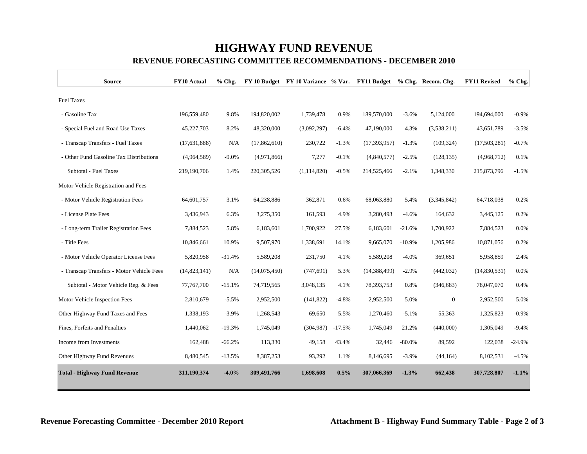# **HIGHWAY FUND REVENUE**

#### **REVENUE FORECASTING COMMITTEE RECOMMENDATIONS - DECEMBER 2010**

| <b>Source</b>                             | <b>FY10 Actual</b> | % Chg.   |               | FY 10 Budget FY 10 Variance % Var. FY11 Budget % Chg. Recom. Chg. |          |                |          |              | <b>FY11 Revised</b> | % Chg.   |
|-------------------------------------------|--------------------|----------|---------------|-------------------------------------------------------------------|----------|----------------|----------|--------------|---------------------|----------|
| <b>Fuel Taxes</b>                         |                    |          |               |                                                                   |          |                |          |              |                     |          |
| - Gasoline Tax                            | 196,559,480        | 9.8%     | 194,820,002   | 1,739,478                                                         | 0.9%     | 189,570,000    | $-3.6%$  | 5,124,000    | 194,694,000         | $-0.9%$  |
| - Special Fuel and Road Use Taxes         | 45,227,703         | 8.2%     | 48,320,000    | (3,092,297)                                                       | $-6.4%$  | 47,190,000     | 4.3%     | (3,538,211)  | 43,651,789          | $-3.5%$  |
| - Transcap Transfers - Fuel Taxes         | (17, 631, 888)     | N/A      | (17,862,610)  | 230,722                                                           | $-1.3%$  | (17, 393, 957) | $-1.3%$  | (109, 324)   | (17,503,281)        | $-0.7%$  |
| - Other Fund Gasoline Tax Distributions   | (4,964,589)        | $-9.0%$  | (4,971,866)   | 7,277                                                             | $-0.1%$  | (4,840,577)    | $-2.5%$  | (128, 135)   | (4,968,712)         | 0.1%     |
| Subtotal - Fuel Taxes                     | 219,190,706        | 1.4%     | 220, 305, 526 | (1, 114, 820)                                                     | $-0.5%$  | 214,525,466    | $-2.1%$  | 1,348,330    | 215,873,796         | $-1.5%$  |
| Motor Vehicle Registration and Fees       |                    |          |               |                                                                   |          |                |          |              |                     |          |
| - Motor Vehicle Registration Fees         | 64,601,757         | 3.1%     | 64,238,886    | 362,871                                                           | 0.6%     | 68,063,880     | 5.4%     | (3,345,842)  | 64,718,038          | 0.2%     |
| - License Plate Fees                      | 3,436,943          | 6.3%     | 3,275,350     | 161,593                                                           | 4.9%     | 3,280,493      | $-4.6%$  | 164,632      | 3,445,125           | 0.2%     |
| - Long-term Trailer Registration Fees     | 7,884,523          | 5.8%     | 6,183,601     | 1,700,922                                                         | 27.5%    | 6,183,601      | $-21.6%$ | 1,700,922    | 7,884,523           | 0.0%     |
| - Title Fees                              | 10,846,661         | 10.9%    | 9,507,970     | 1,338,691                                                         | 14.1%    | 9,665,070      | $-10.9%$ | 1,205,986    | 10,871,056          | 0.2%     |
| - Motor Vehicle Operator License Fees     | 5,820,958          | $-31.4%$ | 5,589,208     | 231,750                                                           | 4.1%     | 5,589,208      | $-4.0%$  | 369,651      | 5,958,859           | 2.4%     |
| - Transcap Transfers - Motor Vehicle Fees | (14,823,141)       | N/A      | (14,075,450)  | (747, 691)                                                        | 5.3%     | (14,388,499)   | $-2.9%$  | (442, 032)   | (14,830,531)        | 0.0%     |
| Subtotal - Motor Vehicle Reg. & Fees      | 77,767,700         | $-15.1%$ | 74,719,565    | 3,048,135                                                         | 4.1%     | 78,393,753     | 0.8%     | (346, 683)   | 78,047,070          | 0.4%     |
| Motor Vehicle Inspection Fees             | 2,810,679          | $-5.5%$  | 2,952,500     | (141, 822)                                                        | $-4.8%$  | 2,952,500      | 5.0%     | $\mathbf{0}$ | 2,952,500           | 5.0%     |
| Other Highway Fund Taxes and Fees         | 1,338,193          | $-3.9%$  | 1,268,543     | 69,650                                                            | 5.5%     | 1,270,460      | $-5.1%$  | 55,363       | 1,325,823           | $-0.9%$  |
| Fines, Forfeits and Penalties             | 1,440,062          | $-19.3%$ | 1,745,049     | (304, 987)                                                        | $-17.5%$ | 1,745,049      | 21.2%    | (440,000)    | 1,305,049           | $-9.4%$  |
| Income from Investments                   | 162,488            | $-66.2%$ | 113,330       | 49,158                                                            | 43.4%    | 32,446         | $-80.0%$ | 89,592       | 122,038             | $-24.9%$ |
| Other Highway Fund Revenues               | 8,480,545          | $-13.5%$ | 8,387,253     | 93,292                                                            | 1.1%     | 8,146,695      | $-3.9%$  | (44, 164)    | 8,102,531           | $-4.5%$  |
| <b>Total - Highway Fund Revenue</b>       | 311,190,374        | $-4.0%$  | 309,491,766   | 1,698,608                                                         | 0.5%     | 307,066,369    | $-1.3%$  | 662,438      | 307,728,807         | $-1.1%$  |

Г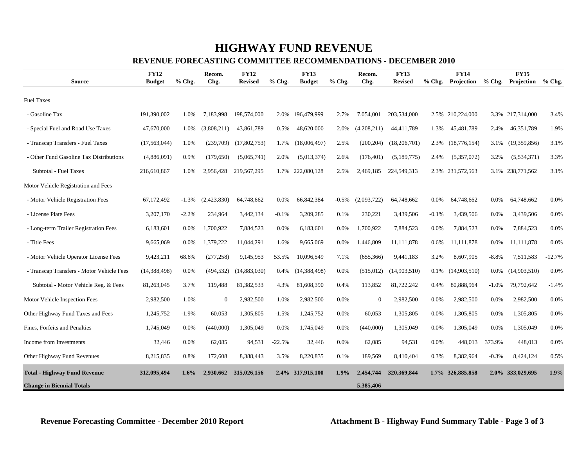# **HIGHWAY FUND REVENUE**

#### **REVENUE FORECASTING COMMITTEE RECOMMENDATIONS - DECEMBER 2010**

|                                           | <b>FY12</b>    |         | Recom.      | <b>FY12</b>    |          | <b>FY13</b>      |          | Recom.      | <b>FY13</b>    |          | <b>FY14</b>      |          | <b>FY15</b>      |          |
|-------------------------------------------|----------------|---------|-------------|----------------|----------|------------------|----------|-------------|----------------|----------|------------------|----------|------------------|----------|
| <b>Source</b>                             | <b>Budget</b>  | % Chg.  | Chg.        | <b>Revised</b> | $%$ Chg. | <b>Budget</b>    | $%$ Chg. | Chg.        | <b>Revised</b> | $%$ Chg. | Projection       | $%$ Chg. | Projection       | $%$ Chg. |
| <b>Fuel Taxes</b>                         |                |         |             |                |          |                  |          |             |                |          |                  |          |                  |          |
| - Gasoline Tax                            | 191,390,002    | 1.0%    | 7,183,998   | 198,574,000    | 2.0%     | 196,479,999      | 2.7%     | 7,054,001   | 203,534,000    |          | 2.5% 210,224,000 |          | 3.3% 217,314,000 | 3.4%     |
| - Special Fuel and Road Use Taxes         | 47,670,000     | 1.0%    | (3,808,211) | 43,861,789     | 0.5%     | 48,620,000       | 2.0%     | (4,208,211) | 44,411,789     | 1.3%     | 45,481,789       | 2.4%     | 46,351,789       | 1.9%     |
| - Transcap Transfers - Fuel Taxes         | (17, 563, 044) | 1.0%    | (239,709)   | (17,802,753)   | 1.7%     | (18,006,497)     | 2.5%     | (200, 204)  | (18,206,701)   | 2.3%     | (18, 776, 154)   | 3.1%     | (19,359,856)     | 3.1%     |
| - Other Fund Gasoline Tax Distributions   | (4,886,091)    | 0.9%    | (179,650)   | (5,065,741)    | 2.0%     | (5,013,374)      | 2.6%     | (176, 401)  | (5,189,775)    | 2.4%     | (5,357,072)      | 3.2%     | (5,534,371)      | 3.3%     |
| Subtotal - Fuel Taxes                     | 216,610,867    | 1.0%    | 2,956,428   | 219,567,295    | 1.7%     | 222,080,128      | 2.5%     | 2,469,185   | 224,549,313    |          | 2.3% 231,572,563 |          | 3.1% 238,771,562 | 3.1%     |
| Motor Vehicle Registration and Fees       |                |         |             |                |          |                  |          |             |                |          |                  |          |                  |          |
| - Motor Vehicle Registration Fees         | 67,172,492     | $-1.3%$ | (2,423,830) | 64,748,662     | $0.0\%$  | 66,842,384       | $-0.5\%$ | (2.093.722) | 64,748,662     | $0.0\%$  | 64,748,662       | $0.0\%$  | 64,748,662       | 0.0%     |
| - License Plate Fees                      | 3,207,170      | $-2.2%$ | 234,964     | 3,442,134      | $-0.1%$  | 3,209,285        | 0.1%     | 230,221     | 3,439,506      | $-0.1%$  | 3,439,506        | 0.0%     | 3,439,506        | 0.0%     |
| - Long-term Trailer Registration Fees     | 6,183,601      | 0.0%    | 1,700,922   | 7,884,523      | $0.0\%$  | 6,183,601        | 0.0%     | 1,700,922   | 7,884,523      | 0.0%     | 7,884,523        | 0.0%     | 7,884,523        | 0.0%     |
| - Title Fees                              | 9,665,069      | $0.0\%$ | 1,379,222   | 11,044,291     | 1.6%     | 9,665,069        | 0.0%     | 1,446,809   | 11,111,878     | 0.6%     | 11,111,878       | $0.0\%$  | 11,111,878       | 0.0%     |
| - Motor Vehicle Operator License Fees     | 9,423,211      | 68.6%   | (277, 258)  | 9,145,953      | 53.5%    | 10,096,549       | 7.1%     | (655, 366)  | 9,441,183      | 3.2%     | 8,607,905        | $-8.8%$  | 7,511,583        | $-12.7%$ |
| - Transcap Transfers - Motor Vehicle Fees | (14, 388, 498) | 0.0%    | (494, 532)  | (14,883,030)   | 0.4%     | (14, 388, 498)   | 0.0%     | (515,012)   | (14,903,510)   | 0.1%     | (14,903,510)     | $0.0\%$  | (14,903,510)     | 0.0%     |
| Subtotal - Motor Vehicle Reg. & Fees      | 81,263,045     | 3.7%    | 119,488     | 81,382,533     | 4.3%     | 81,608,390       | 0.4%     | 113,852     | 81,722,242     | 0.4%     | 80,888,964       | $-1.0\%$ | 79,792,642       | $-1.4%$  |
| Motor Vehicle Inspection Fees             | 2,982,500      | 1.0%    | $\Omega$    | 2,982,500      | 1.0%     | 2,982,500        | 0.0%     | $\Omega$    | 2,982,500      | 0.0%     | 2,982,500        | 0.0%     | 2,982,500        | 0.0%     |
| Other Highway Fund Taxes and Fees         | 1,245,752      | $-1.9%$ | 60,053      | 1,305,805      | $-1.5%$  | 1,245,752        | 0.0%     | 60,053      | 1,305,805      | 0.0%     | 1,305,805        | 0.0%     | 1,305,805        | 0.0%     |
| Fines, Forfeits and Penalties             | 1,745,049      | 0.0%    | (440,000)   | 1,305,049      | 0.0%     | 1,745,049        | 0.0%     | (440,000)   | 1,305,049      | 0.0%     | 1,305,049        | 0.0%     | 1,305,049        | 0.0%     |
| Income from Investments                   | 32,446         | 0.0%    | 62,085      | 94,531         | $-22.5%$ | 32,446           | 0.0%     | 62,085      | 94,531         | 0.0%     | 448,013          | 373.9%   | 448,013          | 0.0%     |
| Other Highway Fund Revenues               | 8,215,835      | 0.8%    | 172,608     | 8,388,443      | 3.5%     | 8,220,835        | 0.1%     | 189,569     | 8,410,404      | 0.3%     | 8,382,964        | $-0.3%$  | 8,424,124        | 0.5%     |
| <b>Total - Highway Fund Revenue</b>       | 312,095,494    | $1.6\%$ | 2,930,662   | 315,026,156    |          | 2.4% 317,915,100 | 1.9%     | 2,454,744   | 320,369,844    |          | 1.7% 326,885,858 |          | 2.0% 333,029,695 | 1.9%     |
| <b>Change in Biennial Totals</b>          |                |         |             |                |          |                  |          | 5,385,406   |                |          |                  |          |                  |          |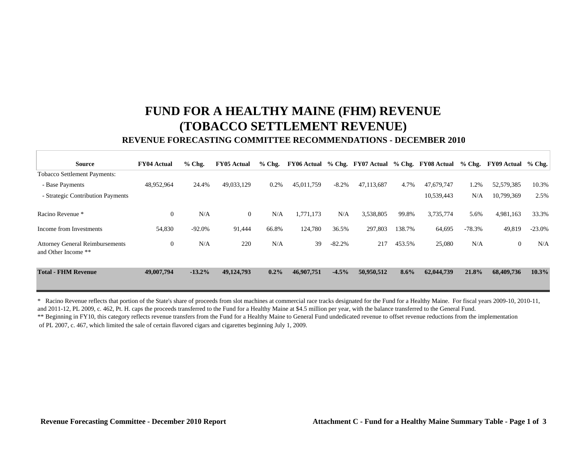# **FUND FOR A HEALTHY MAINE (FHM) REVENUE (TOBACCO SETTLEMENT REVENUE) REVENUE FORECASTING COMMITTEE RECOMMENDATIONS - DECEMBER 2010**

| <b>Source</b>                                                 | <b>FY04 Actual</b> | $%$ Chg.  | <b>FY05 Actual</b> | $%$ Chg. |            |          | $\text{FY06 Actual}$ % Chg. $\text{FY07 Actual}$ % Chg. |        | FY08 Actual % Chg. FY09 Actual % Chg. |          |                |          |
|---------------------------------------------------------------|--------------------|-----------|--------------------|----------|------------|----------|---------------------------------------------------------|--------|---------------------------------------|----------|----------------|----------|
| <b>Tobacco Settlement Payments:</b>                           |                    |           |                    |          |            |          |                                                         |        |                                       |          |                |          |
| - Base Payments                                               | 48,952,964         | 24.4%     | 49,033,129         | 0.2%     | 45,011,759 | $-8.2%$  | 47,113,687                                              | 4.7%   | 47.679.747                            | 1.2%     | 52,579,385     | 10.3%    |
| - Strategic Contribution Payments                             |                    |           |                    |          |            |          |                                                         |        | 10,539,443                            | N/A      | 10,799,369     | 2.5%     |
| Racino Revenue *                                              | $\overline{0}$     | N/A       | $\overline{0}$     | N/A      | 1,771,173  | N/A      | 3,538,805                                               | 99.8%  | 3,735,774                             | 5.6%     | 4,981,163      | 33.3%    |
| Income from Investments                                       | 54,830             | $-92.0%$  | 91,444             | 66.8%    | 124,780    | 36.5%    | 297,803                                                 | 138.7% | 64,695                                | $-78.3%$ | 49,819         | $-23.0%$ |
| <b>Attorney General Reimbursements</b><br>and Other Income ** | $\overline{0}$     | N/A       | 220                | N/A      | 39         | $-82.2%$ | 217                                                     | 453.5% | 25,080                                | N/A      | $\overline{0}$ | N/A      |
| <b>Total - FHM Revenue</b>                                    | 49,007,794         | $-13.2\%$ | 49,124,793         | $0.2\%$  | 46,907,751 | $-4.5%$  | 50,950,512                                              | 8.6%   | 62,044,739                            | 21.8%    | 68,409,736     | $10.3\%$ |

\*\* Beginning in FY10, this category reflects revenue transfers from the Fund for a Healthy Maine to General Fund undedicated revenue to offset revenue reductions from the implementation of PL 2007, c. 467, which limited the sale of certain flavored cigars and cigarettes beginning July 1, 2009. \* Racino Revenue reflects that portion of the State's share of proceeds from slot machines at commercial race tracks designated for the Fund for a Healthy Maine. For fiscal years 2009-10, 2010-11, and 2011-12, PL 2009, c. 462, Pt. H. caps the proceeds transferred to the Fund for a Healthy Maine at \$4.5 million per year, with the balance transferred to the General Fund.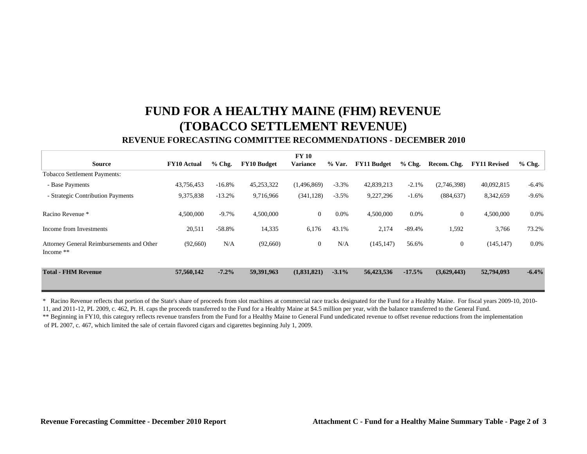# **FUND FOR A HEALTHY MAINE (FHM) REVENUE (TOBACCO SETTLEMENT REVENUE)**

### **REVENUE FORECASTING COMMITTEE RECOMMENDATIONS - DECEMBER 2010**

|                                                        |                    |          |                    | <b>FY 10</b>     |          |                    |          |                |                     |          |
|--------------------------------------------------------|--------------------|----------|--------------------|------------------|----------|--------------------|----------|----------------|---------------------|----------|
| <b>Source</b>                                          | <b>FY10</b> Actual | $%$ Chg. | <b>FY10 Budget</b> | <b>Variance</b>  | % Var.   | <b>FY11 Budget</b> | $%$ Chg. | Recom. Chg.    | <b>FY11 Revised</b> | $%$ Chg. |
| <b>Tobacco Settlement Payments:</b>                    |                    |          |                    |                  |          |                    |          |                |                     |          |
| - Base Payments                                        | 43,756,453         | $-16.8%$ | 45,253,322         | (1,496,869)      | $-3.3%$  | 42,839,213         | $-2.1%$  | (2,746,398)    | 40,092,815          | $-6.4%$  |
| - Strategic Contribution Payments                      | 9,375,838          | $-13.2%$ | 9,716,966          | (341, 128)       | $-3.5%$  | 9,227,296          | $-1.6%$  | (884, 637)     | 8,342,659           | $-9.6%$  |
| Racino Revenue *                                       | 4,500,000          | $-9.7\%$ | 4,500,000          | $\overline{0}$   | $0.0\%$  | 4,500,000          | $0.0\%$  | $\overline{0}$ | 4,500,000           | $0.0\%$  |
| Income from Investments                                | 20,511             | $-58.8%$ | 14,335             | 6,176            | 43.1%    | 2,174              | $-89.4%$ | 1,592          | 3,766               | 73.2%    |
| Attorney General Reimbursements and Other<br>Income ** | (92,660)           | N/A      | (92,660)           | $\boldsymbol{0}$ | N/A      | (145, 147)         | 56.6%    | $\overline{0}$ | (145, 147)          | $0.0\%$  |
| <b>Total - FHM Revenue</b>                             | 57,560,142         | $-7.2%$  | 59,391,963         | (1,831,821)      | $-3.1\%$ | 56,423,536         | $-17.5%$ | (3,629,443)    | 52,794,093          | $-6.4%$  |

\*\* Beginning in FY10, this category reflects revenue transfers from the Fund for a Healthy Maine to General Fund undedicated revenue to offset revenue reductions from the implementation of PL 2007, c. 467, which limited the sale of certain flavored cigars and cigarettes beginning July 1, 2009. \* Racino Revenue reflects that portion of the State's share of proceeds from slot machines at commercial race tracks designated for the Fund for a Healthy Maine. For fiscal years 2009-10, 2010- 11, and 2011-12, PL 2009, c. 462, Pt. H. caps the proceeds transferred to the Fund for a Healthy Maine at \$4.5 million per year, with the balance transferred to the General Fund.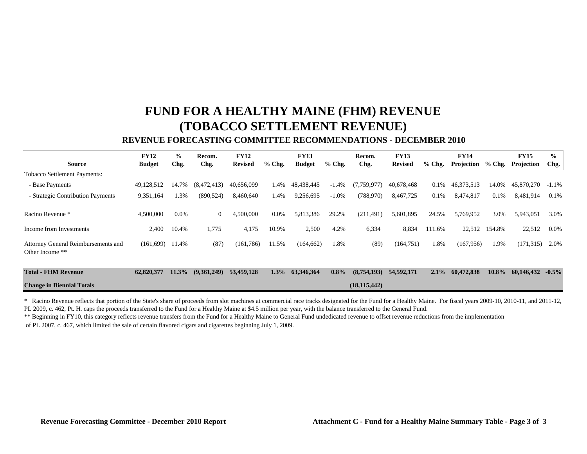# **FUND FOR A HEALTHY MAINE (FHM) REVENUE (TOBACCO SETTLEMENT REVENUE)**

### **REVENUE FORECASTING COMMITTEE RECOMMENDATIONS - DECEMBER 2010**

|                                                        | <b>FY12</b>   | $\frac{6}{9}$ | Recom.         | <b>FY12</b>    |          | <b>FY13</b>   |          | Recom.         | <b>FY13</b>    |          | <b>FY14</b> |          | <b>FY15</b> | $\frac{6}{6}$ |
|--------------------------------------------------------|---------------|---------------|----------------|----------------|----------|---------------|----------|----------------|----------------|----------|-------------|----------|-------------|---------------|
| <b>Source</b>                                          | <b>Budget</b> | Chg.          | Chg.           | <b>Revised</b> | $%$ Chg. | <b>Budget</b> | $%$ Chg. | Chg.           | <b>Revised</b> | $%$ Chg. | Projection  | $%$ Chg. | Projection  | Chg.          |
| <b>Tobacco Settlement Payments:</b>                    |               |               |                |                |          |               |          |                |                |          |             |          |             |               |
| - Base Payments                                        | 49,128,512    | 14.7%         | (8,472,413)    | 40.656.099     | 1.4%     | 48,438,445    | $-1.4%$  | (7,759,977)    | 40,678,468     | 0.1%     | 46,373,513  | 14.0%    | 45,870,270  | $-1.1\%$      |
| - Strategic Contribution Payments                      | 9,351,164     | 1.3%          | (890, 524)     | 8,460,640      | 1.4%     | 9,256,695     | $-1.0\%$ | (788, 970)     | 8,467,725      | 0.1%     | 8,474,817   | 0.1%     | 8,481,914   | 0.1%          |
| Racino Revenue *                                       | 4,500,000     | 0.0%          | $\overline{0}$ | 4,500,000      | 0.0%     | 5,813,386     | 29.2%    | (211, 491)     | 5,601,895      | 24.5%    | 5,769,952   | 3.0%     | 5,943,051   | 3.0%          |
| Income from Investments                                | 2,400         | 10.4%         | 1,775          | 4,175          | 10.9%    | 2,500         | 4.2%     | 6,334          | 8,834          | 111.6%   | 22,512      | 154.8%   | 22,512      | $0.0\%$       |
| Attorney General Reimbursements and<br>Other Income ** | (161,699)     | 11.4%         | (87)           | (161, 786)     | 11.5%    | (164, 662)    | 1.8%     | (89)           | (164, 751)     | 1.8%     | (167, 956)  | 1.9%     | (171, 315)  | 2.0%          |
| <b>Total - FHM Revenue</b>                             | 62,820,377    | 11.3%         | (9,361,249)    | 53,459,128     | $1.3\%$  | 63,346,364    | $0.8\%$  | (8,754,193)    | 54,592,171     | $2.1\%$  | 60,472,838  | 10.8%    | 60,146,432  | $-0.5\%$      |
| <b>Change in Biennial Totals</b>                       |               |               |                |                |          |               |          | (18, 115, 442) |                |          |             |          |             |               |

\* Racino Revenue reflects that portion of the State's share of proceeds from slot machines at commercial race tracks designated for the Fund for a Healthy Maine. For fiscal years 2009-10, 2010-11, and 2011-12, PL 2009, c. 462, Pt. H. caps the proceeds transferred to the Fund for a Healthy Maine at \$4.5 million per year, with the balance transferred to the General Fund.

\*\* Beginning in FY10, this category reflects revenue transfers from the Fund for a Healthy Maine to General Fund undedicated revenue to offset revenue reductions from the implementation

of PL 2007, c. 467, which limited the sale of certain flavored cigars and cigarettes beginning July 1, 2009.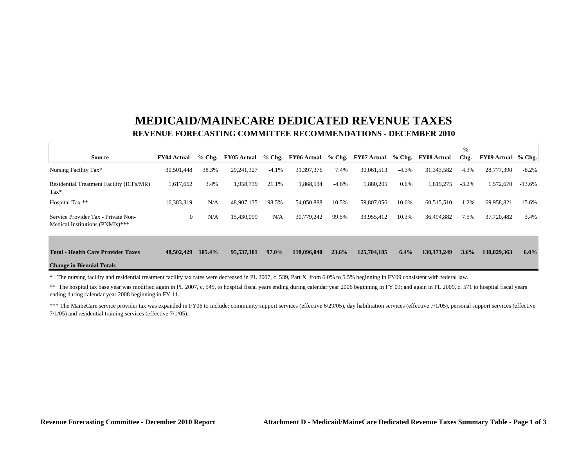# **MEDICAID/MAINECARE DEDICATED REVENUE TAXES REVENUE FORECASTING COMMITTEE RECOMMENDATIONS - DECEMBER 2010**

|                                                                        |                    |          |                    |          |                    |          |             |          |                    | $\frac{0}{0}$ |                    |          |
|------------------------------------------------------------------------|--------------------|----------|--------------------|----------|--------------------|----------|-------------|----------|--------------------|---------------|--------------------|----------|
| <b>Source</b>                                                          | <b>FY04 Actual</b> | $%$ Chg. | <b>FY05 Actual</b> | $%$ Chg. | <b>FY06 Actual</b> | $%$ Chg. | FY07 Actual | $%$ Chg. | <b>FY08 Actual</b> | Chg.          | <b>FY09 Actual</b> | $%$ Chg. |
| Nursing Facility Tax*                                                  | 30,501,448         | 38.3%    | 29,241,327         | $-4.1%$  | 31,397,376         | 7.4%     | 30,061,513  | $-4.3%$  | 31, 343, 582       | 4.3%          | 28,777,390         | $-8.2%$  |
| Residential Treatment Facility (ICFs/MR)<br>$\text{Tax*}$              | 1,617,662          | 3.4%     | 1,958,739          | 21.1%    | 1,868,534          | $-4.6%$  | 1,880,205   | 0.6%     | 1,819,275          | $-3.2%$       | 1,572,670          | $-13.6%$ |
| Hospital Tax **                                                        | 16.383.319         | N/A      | 48,907,135         | 198.5%   | 54,050,888         | 10.5%    | 59,807,056  | 10.6%    | 60,515,510         | 1.2%          | 69,958,821         | 15.6%    |
| Service Provider Tax - Private Non-<br>Medical Institutions (PNMIs)*** | $\overline{0}$     | N/A      | 15,430,099         | N/A      | 30,779,242         | 99.5%    | 33,955,412  | 10.3%    | 36,494,882         | 7.5%          | 37,720,482         | 3.4%     |
|                                                                        |                    |          |                    |          |                    |          |             |          |                    |               |                    |          |
| <b>Total - Health Care Provider Taxes</b>                              | 48,502,429         | 105.4%   | 95,537,301         | 97.0%    | 118,096,040        | 23.6%    | 125,704,185 | 6.4%     | 130, 173, 249      | $3.6\%$       | 138,029,363        | $6.0\%$  |
| <b>Change in Biennial Totals</b>                                       |                    |          |                    |          |                    |          |             |          |                    |               |                    |          |

\* The nursing facility and residential treatment facility tax rates were decreased in PL 2007, c. 539, Part X from 6.0% to 5.5% beginning in FY09 consistent with federal law.

\*\* The hospital tax base year was modified again in PL 2007, c. 545, to hospital fiscal years ending during calendar year 2006 beginning in FY 09; and again in PL 2009, c. 571 to hospital fiscal years ending during calendar year 2008 beginning in FY 11.

\*\*\* The MaineCare service provider tax was expanded in FY06 to include: community support services (effective 6/29/05), day habilitation services (effective 7/1/05), personal support services (effective 7/1/05) and residential training services (effective 7/1/05).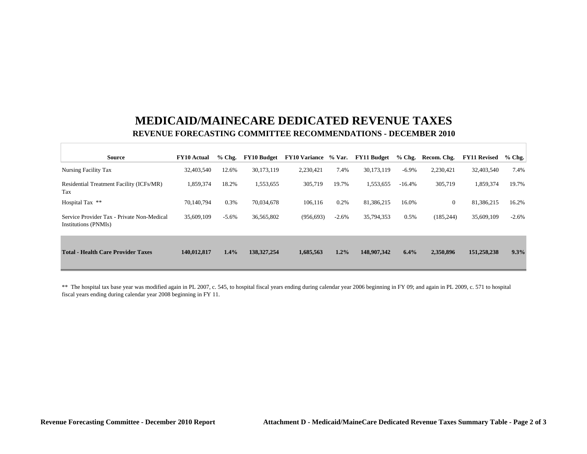# **MEDICAID/MAINECARE DEDICATED REVENUE TAXES REVENUE FORECASTING COMMITTEE RECOMMENDATIONS - DECEMBER 2010**

| <b>Source</b>                                                      | <b>FY10 Actual</b> | $%$ Chg. | <b>FY10 Budget</b> | <b>FY10 Variance</b> | % Var.  | <b>FY11 Budget</b> | $%$ Chg. | Recom. Chg.    | <b>FY11 Revised</b> | $%$ Chg. |
|--------------------------------------------------------------------|--------------------|----------|--------------------|----------------------|---------|--------------------|----------|----------------|---------------------|----------|
| Nursing Facility Tax                                               | 32,403,540         | 12.6%    | 30.173.119         | 2,230,421            | 7.4%    | 30,173,119         | $-6.9\%$ | 2,230,421      | 32,403,540          | 7.4%     |
| Residential Treatment Facility (ICFs/MR)<br>Tax                    | 1,859,374          | 18.2%    | 1,553,655          | 305,719              | 19.7%   | 1,553,655          | $-16.4%$ | 305,719        | 1,859,374           | 19.7%    |
| Hospital Tax **                                                    | 70,140,794         | 0.3%     | 70,034,678         | 106.116              | 0.2%    | 81,386,215         | 16.0%    | $\overline{0}$ | 81.386.215          | 16.2%    |
| Service Provider Tax - Private Non-Medical<br>Institutions (PNMIs) | 35,609,109         | $-5.6%$  | 36,565,802         | (956, 693)           | $-2.6%$ | 35,794,353         | 0.5%     | (185, 244)     | 35,609,109          | $-2.6%$  |
| <b>Total - Health Care Provider Taxes</b>                          | 140.012.817        | 1.4%     | 138, 327, 254      | 1,685,563            | 1.2%    | 148,907,342        | 6.4%     | 2,350,896      | 151,258,238         | 9.3%     |

\*\* The hospital tax base year was modified again in PL 2007, c. 545, to hospital fiscal years ending during calendar year 2006 beginning in FY 09; and again in PL 2009, c. 571 to hospital fiscal years ending during calendar year 2008 beginning in FY 11.